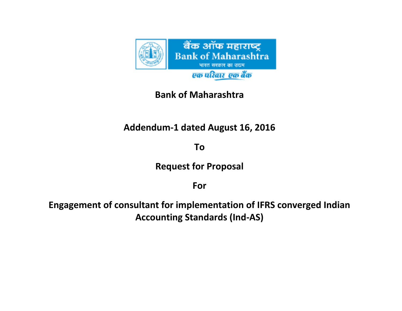

## **Bank of Maharashtra**

## **Addendum-1 dated August 16, 2016**

**To**

**Request for Proposal**

**For**

**Engagement of consultant for implementation of IFRS converged Indian Accounting Standards (Ind-AS)**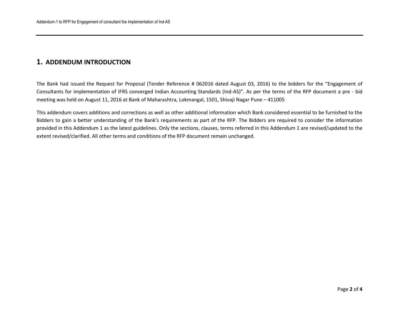## **1. ADDENDUM INTRODUCTION**

The Bank had issued the Request for Proposal (Tender Reference # 062016 dated August 03, 2016) to the bidders for the "Engagement of Consultants for implementation of IFRS converged Indian Accounting Standards (Ind-AS)". As per the terms of the RFP document a pre - bid meeting was held on August 11, 2016 at Bank of Maharashtra, Lokmangal, 1501, Shivaji Nagar Pune – 411005

This addendum covers additions and corrections as well as other additional information which Bank considered essential to be furnished to the Bidders to gain a better understanding of the Bank's requirements as part of the RFP. The Bidders are required to consider the information provided in this Addendum 1 as the latest guidelines. Only the sections, clauses, terms referred in this Addendum 1 are revised/updated to the extent revised/clarified. All other terms and conditions of the RFP document remain unchanged.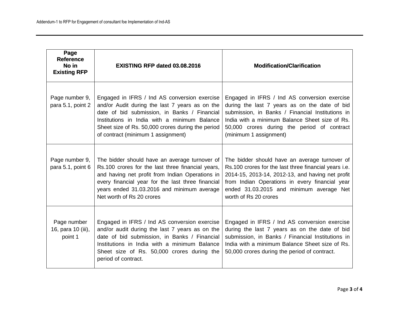| Page<br><b>Reference</b><br>No in<br><b>Existing RFP</b> | <b>EXISTING RFP dated 03.08.2016</b>                                                                                                                                                                                                                                                      | <b>Modification/Clarification</b>                                                                                                                                                                                                                                                 |
|----------------------------------------------------------|-------------------------------------------------------------------------------------------------------------------------------------------------------------------------------------------------------------------------------------------------------------------------------------------|-----------------------------------------------------------------------------------------------------------------------------------------------------------------------------------------------------------------------------------------------------------------------------------|
| Page number 9,<br>para 5.1, point 2                      | Engaged in IFRS / Ind AS conversion exercise<br>and/or Audit during the last 7 years as on the<br>date of bid submission, in Banks / Financial<br>Institutions in India with a minimum Balance<br>Sheet size of Rs. 50,000 crores during the period<br>of contract (minimum 1 assignment) | Engaged in IFRS / Ind AS conversion exercise<br>during the last 7 years as on the date of bid<br>submission, in Banks / Financial Institutions in<br>India with a minimum Balance Sheet size of Rs.<br>50,000 crores during the period of contract<br>(minimum 1 assignment)      |
| Page number 9,<br>para 5.1, point 6                      | The bidder should have an average turnover of<br>Rs.100 crores for the last three financial years,<br>and having net profit from Indian Operations in<br>every financial year for the last three financial<br>years ended 31.03.2016 and minimum average<br>Net worth of Rs 20 crores     | The bidder should have an average turnover of<br>Rs.100 crores for the last three financial years i.e.<br>2014-15, 2013-14, 2012-13, and having net profit<br>from Indian Operations in every financial year<br>ended 31.03.2015 and minimum average Net<br>worth of Rs 20 crores |
| Page number<br>16, para 10 (iii),<br>point 1             | Engaged in IFRS / Ind AS conversion exercise<br>and/or audit during the last 7 years as on the<br>date of bid submission, in Banks / Financial<br>Institutions in India with a minimum Balance<br>Sheet size of Rs. 50,000 crores during the<br>period of contract.                       | Engaged in IFRS / Ind AS conversion exercise<br>during the last 7 years as on the date of bid<br>submission, in Banks / Financial Institutions in<br>India with a minimum Balance Sheet size of Rs.<br>50,000 crores during the period of contract.                               |